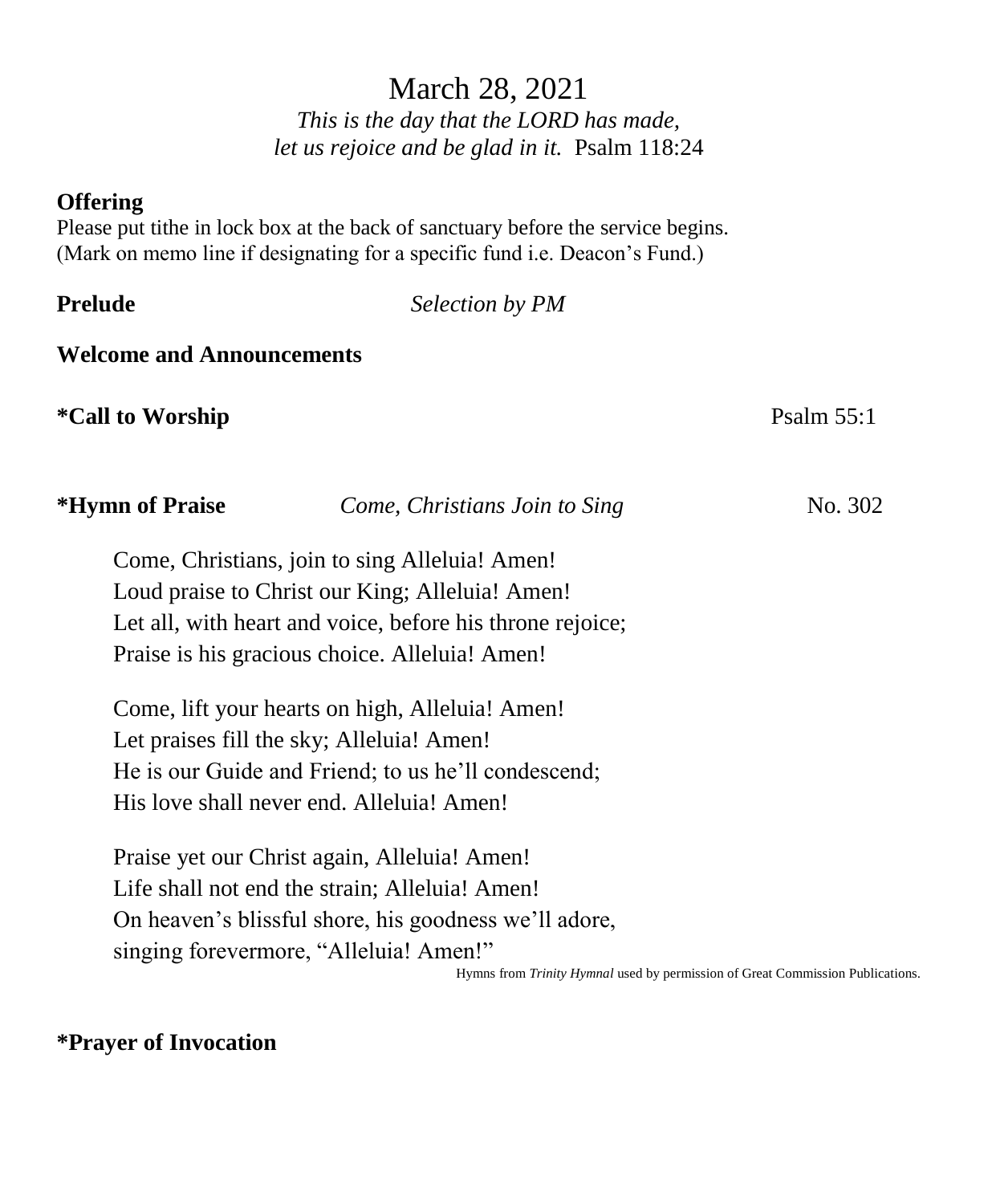# March 28, 2021

*This is the day that the LORD has made, let us rejoice and be glad in it.* Psalm 118:24

### **Offering**

Please put tithe in lock box at the back of sanctuary before the service begins. (Mark on memo line if designating for a specific fund i.e. Deacon's Fund.)

**Selection by PM** 

### **Welcome and Announcements**

**\*Call to Worship** Psalm 55:1

| <b>ILVILLE UL L'EGIST</b> | Come, Christians Join to Sing                             | 110.502 |
|---------------------------|-----------------------------------------------------------|---------|
|                           | Come, Christians, join to sing Alleluia! Amen!            |         |
|                           | Loud praise to Christ our King; Alleluia! Amen!           |         |
|                           | Let all, with heart and voice, before his throne rejoice; |         |
|                           | Praise is his gracious choice. Alleluia! Amen!            |         |
|                           |                                                           |         |

**\*Hymn of Praise** *Come, Christians Join to Sing* No. 302

Come, lift your hearts on high, Alleluia! Amen! Let praises fill the sky; Alleluia! Amen! He is our Guide and Friend; to us he'll condescend; His love shall never end. Alleluia! Amen!

Praise yet our Christ again, Alleluia! Amen! Life shall not end the strain; Alleluia! Amen! On heaven's blissful shore, his goodness we'll adore, singing forevermore, "Alleluia! Amen!"

Hymns from *Trinity Hymnal* used by permission of Great Commission Publications.

## **\*Prayer of Invocation**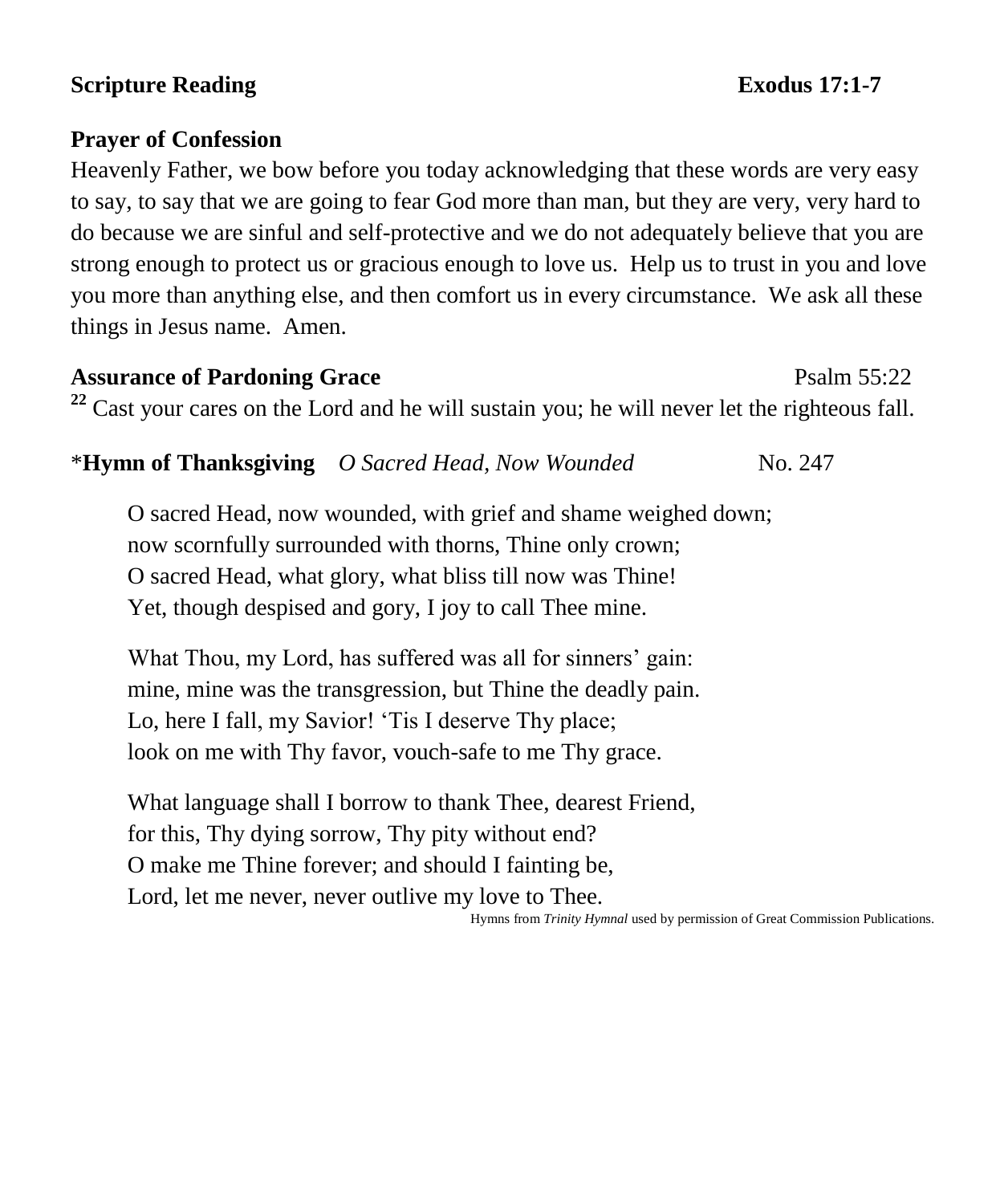## **Scripture Reading Exodus** 17:1-7

### **Prayer of Confession**

Heavenly Father, we bow before you today acknowledging that these words are very easy to say, to say that we are going to fear God more than man, but they are very, very hard to do because we are sinful and self-protective and we do not adequately believe that you are strong enough to protect us or gracious enough to love us. Help us to trust in you and love you more than anything else, and then comfort us in every circumstance. We ask all these things in Jesus name. Amen.

Assurance of Pardoning Grace **Property** Psalm 55:22 <sup>22</sup> Cast your cares on the Lord and he will sustain you; he will never let the righteous fall.

\***Hymn of Thanksgiving** *O Sacred Head, Now Wounded*No. 247

O sacred Head, now wounded, with grief and shame weighed down; now scornfully surrounded with thorns, Thine only crown; O sacred Head, what glory, what bliss till now was Thine! Yet, though despised and gory, I joy to call Thee mine.

What Thou, my Lord, has suffered was all for sinners' gain: mine, mine was the transgression, but Thine the deadly pain. Lo, here I fall, my Savior! 'Tis I deserve Thy place; look on me with Thy favor, vouch-safe to me Thy grace.

What language shall I borrow to thank Thee, dearest Friend, for this, Thy dying sorrow, Thy pity without end? O make me Thine forever; and should I fainting be, Lord, let me never, never outlive my love to Thee.

Hymns from *Trinity Hymnal* used by permission of Great Commission Publications.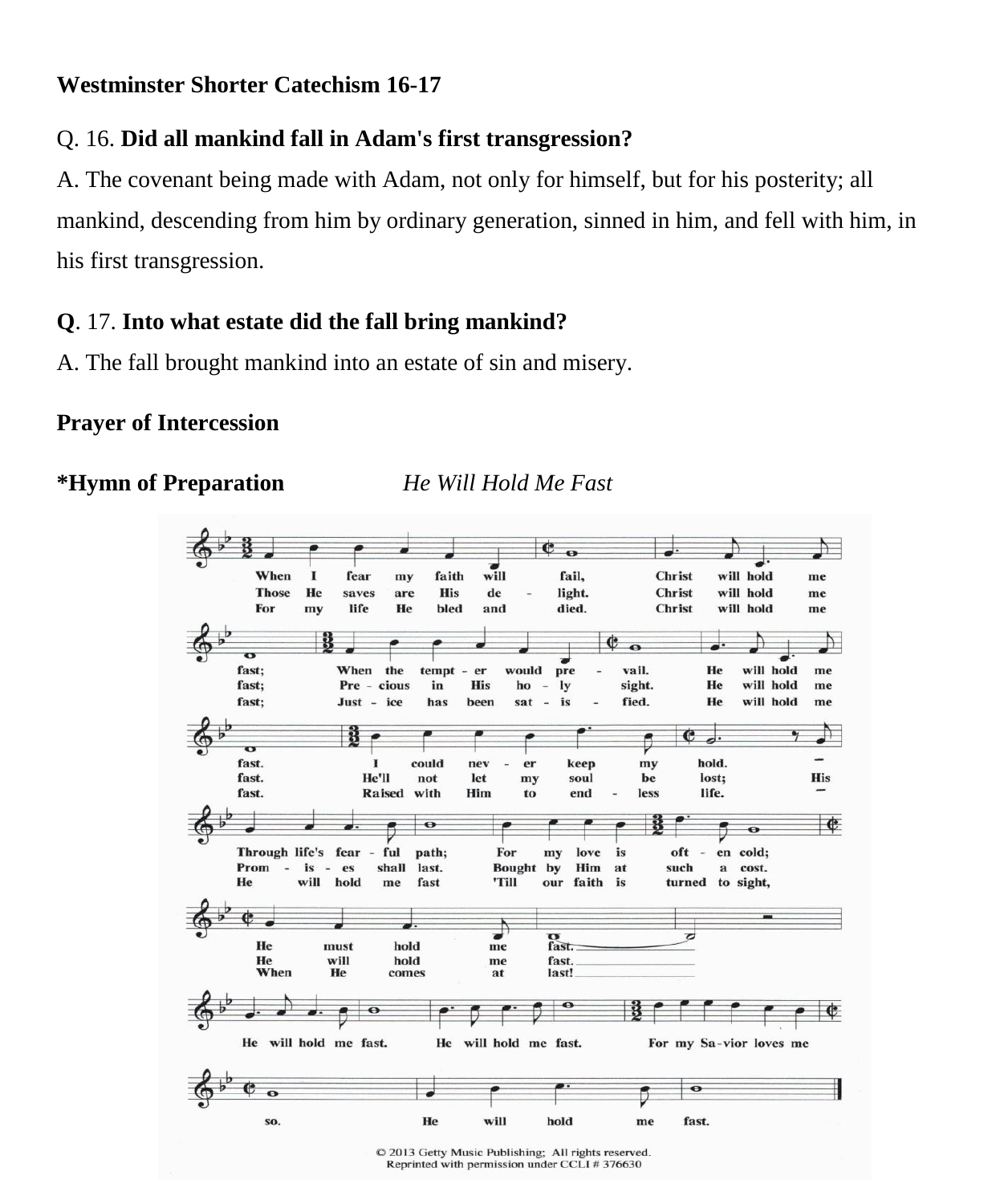### **Westminster Shorter Catechism 16-17**

# Q. 16. **Did all mankind fall in Adam's first transgression?**

A. The covenant being made with Adam, not only for himself, but for his posterity; all mankind, descending from him by ordinary generation, sinned in him, and fell with him, in his first transgression.

## **Q**. 17. **Into what estate did the fall bring mankind?**

A. The fall brought mankind into an estate of sin and misery.

### **Prayer of Intercession**

**\*Hymn of Preparation** *He Will Hold Me Fast*



Reprinted with permission under CCLI # 376630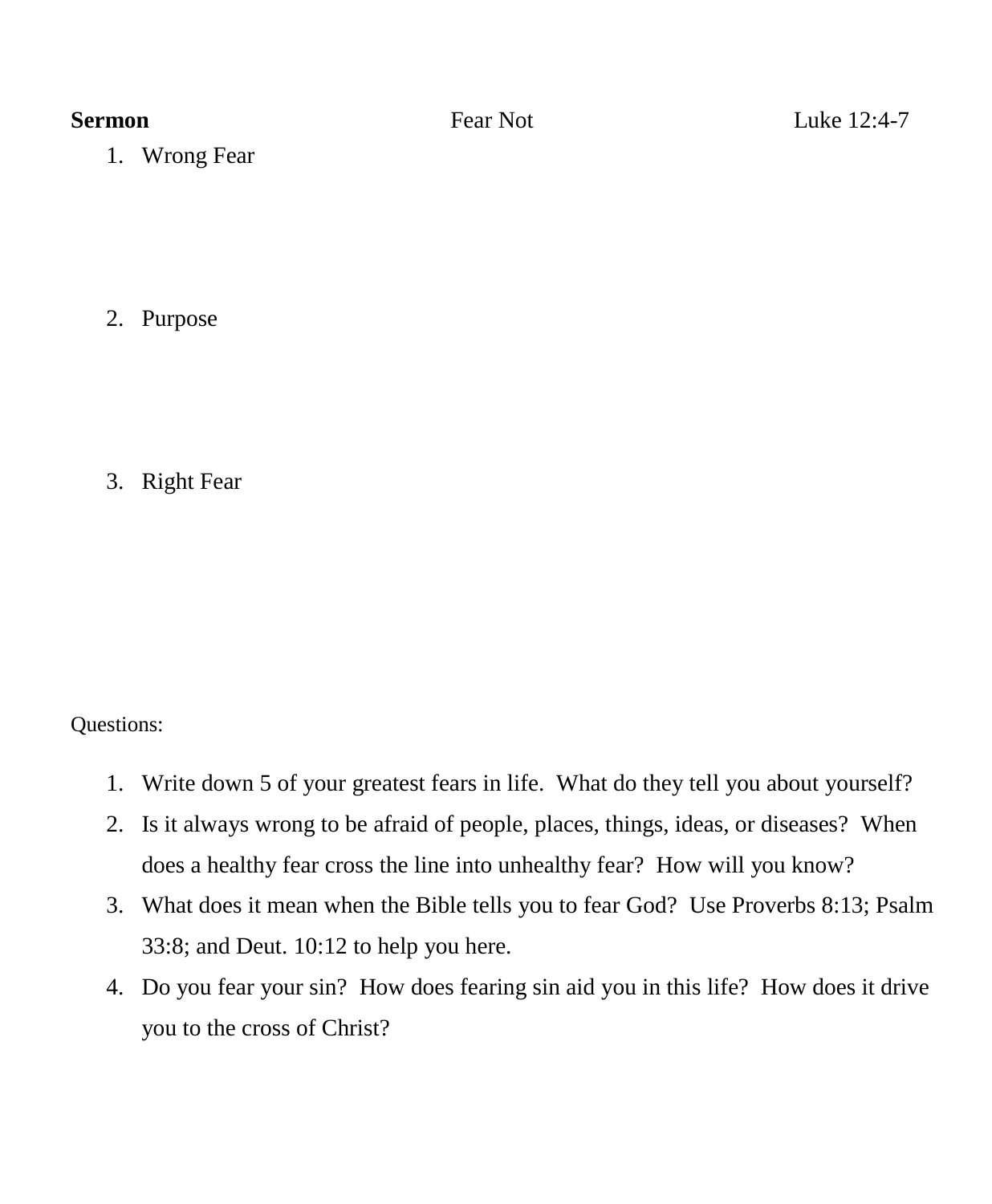1. Wrong Fear

2. Purpose

3. Right Fear

Questions:

- 1. Write down 5 of your greatest fears in life. What do they tell you about yourself?
- 2. Is it always wrong to be afraid of people, places, things, ideas, or diseases? When does a healthy fear cross the line into unhealthy fear? How will you know?
- 3. What does it mean when the Bible tells you to fear God? Use Proverbs 8:13; Psalm 33:8; and Deut. 10:12 to help you here.
- 4. Do you fear your sin? How does fearing sin aid you in this life? How does it drive you to the cross of Christ?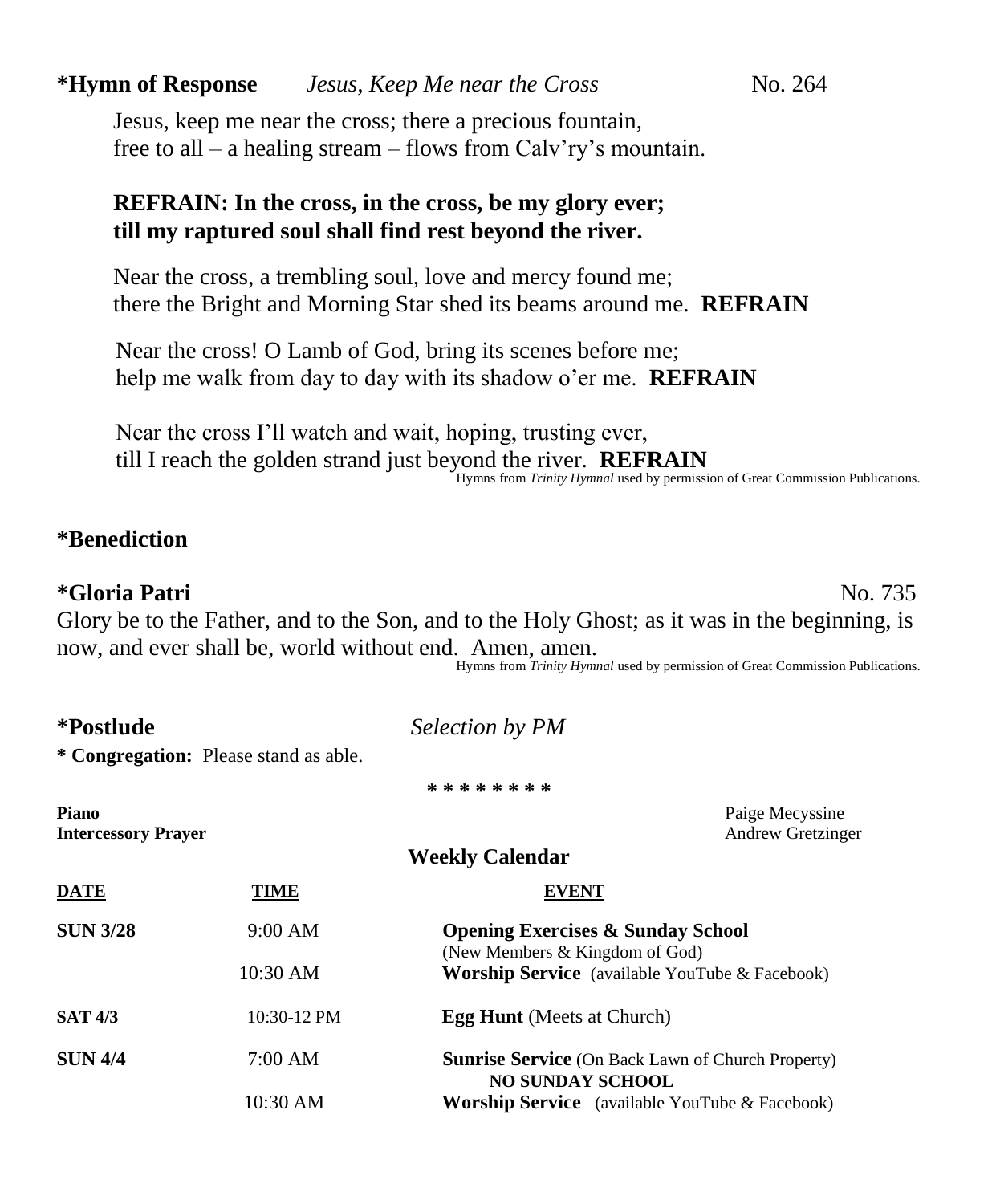# **\*Hymn of Response** *Jesus, Keep Me near the Cross* No. 264

Jesus, keep me near the cross; there a precious fountain, free to all – a healing stream – flows from Calv'ry's mountain.

### **REFRAIN: In the cross, in the cross, be my glory ever; till my raptured soul shall find rest beyond the river.**

Near the cross, a trembling soul, love and mercy found me; there the Bright and Morning Star shed its beams around me. **REFRAIN**

 Near the cross! O Lamb of God, bring its scenes before me; help me walk from day to day with its shadow o'er me. **REFRAIN**

 Near the cross I'll watch and wait, hoping, trusting ever, till I reach the golden strand just beyond the river. **REFRAIN** Hymns from *Trinity Hymnal* used by permission of Great Commission Publications.

### **\*Benediction**

### **\*Gloria Patri** No. 735

Glory be to the Father, and to the Son, and to the Holy Ghost; as it was in the beginning, is now, and ever shall be, world without end. Amen, amen.

Hymns from *Trinity Hymnal* used by permission of Great Commission Publications.

| *Postlude                                  |                                       | Selection by PM                                                                     |  |  |
|--------------------------------------------|---------------------------------------|-------------------------------------------------------------------------------------|--|--|
|                                            | * Congregation: Please stand as able. |                                                                                     |  |  |
|                                            |                                       | * * * * * * * *                                                                     |  |  |
| <b>Piano</b><br><b>Intercessory Prayer</b> |                                       | Paige Mecyssine<br>Andrew Gretzinger                                                |  |  |
|                                            |                                       | <b>Weekly Calendar</b>                                                              |  |  |
| <b>DATE</b>                                | TIME                                  | <b>EVENT</b>                                                                        |  |  |
| <b>SUN 3/28</b>                            | 9:00 AM                               | <b>Opening Exercises &amp; Sunday School</b><br>(New Members & Kingdom of God)      |  |  |
|                                            | 10:30 AM                              | <b>Worship Service</b> (available YouTube & Facebook)                               |  |  |
| <b>SAT 4/3</b>                             | 10:30-12 PM                           | <b>Egg Hunt</b> (Meets at Church)                                                   |  |  |
| <b>SUN 4/4</b>                             | 7:00 AM                               | <b>Sunrise Service</b> (On Back Lawn of Church Property)<br><b>NO SUNDAY SCHOOL</b> |  |  |
|                                            | 10:30 AM                              | <b>Worship Service</b> (available YouTube & Facebook)                               |  |  |